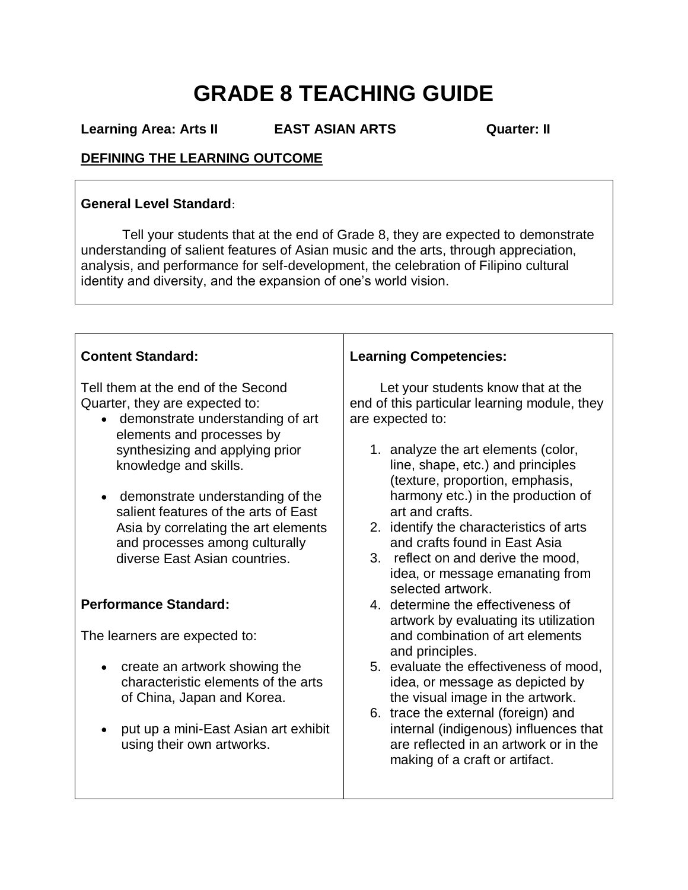## **GRADE 8 TEACHING GUIDE**

**Learning Area: Arts II EAST ASIAN ARTS Quarter: II**

#### **DEFINING THE LEARNING OUTCOME**

#### **General Level Standard**:

 Tell your students that at the end of Grade 8, they are expected to demonstrate understanding of salient features of Asian music and the arts, through appreciation, analysis, and performance for self-development, the celebration of Filipino cultural identity and diversity, and the expansion of one's world vision.

| <b>Content Standard:</b>                                                                                                                | <b>Learning Competencies:</b>                                                                                                                                          |  |  |
|-----------------------------------------------------------------------------------------------------------------------------------------|------------------------------------------------------------------------------------------------------------------------------------------------------------------------|--|--|
| Tell them at the end of the Second<br>Quarter, they are expected to:<br>• demonstrate understanding of art<br>elements and processes by | Let your students know that at the<br>end of this particular learning module, they<br>are expected to:                                                                 |  |  |
| synthesizing and applying prior<br>knowledge and skills.                                                                                | 1. analyze the art elements (color,<br>line, shape, etc.) and principles<br>(texture, proportion, emphasis,                                                            |  |  |
| demonstrate understanding of the<br>$\bullet$<br>salient features of the arts of East                                                   | harmony etc.) in the production of<br>art and crafts.                                                                                                                  |  |  |
| Asia by correlating the art elements<br>and processes among culturally<br>diverse East Asian countries.                                 | 2. identify the characteristics of arts<br>and crafts found in East Asia<br>3. reflect on and derive the mood,<br>idea, or message emanating from<br>selected artwork. |  |  |
| <b>Performance Standard:</b>                                                                                                            | 4. determine the effectiveness of<br>artwork by evaluating its utilization                                                                                             |  |  |
| The learners are expected to:                                                                                                           | and combination of art elements<br>and principles.                                                                                                                     |  |  |
| create an artwork showing the<br>$\bullet$<br>characteristic elements of the arts<br>of China, Japan and Korea.                         | 5. evaluate the effectiveness of mood,<br>idea, or message as depicted by<br>the visual image in the artwork.<br>6. trace the external (foreign) and                   |  |  |
| put up a mini-East Asian art exhibit<br>$\bullet$<br>using their own artworks.                                                          | internal (indigenous) influences that<br>are reflected in an artwork or in the<br>making of a craft or artifact.                                                       |  |  |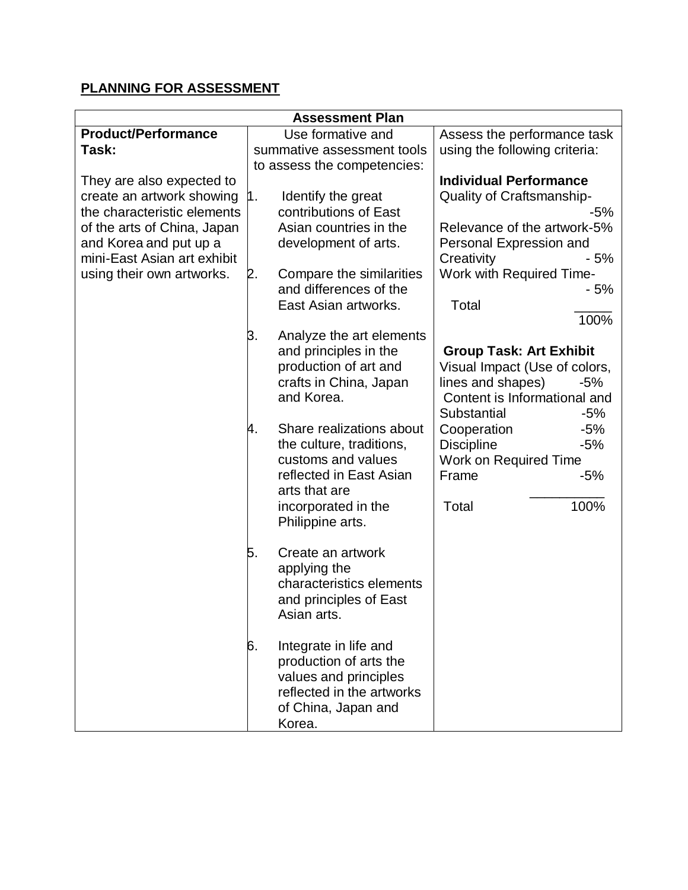#### **PLANNING FOR ASSESSMENT**

| <b>Assessment Plan</b>      |    |                                          |                                |
|-----------------------------|----|------------------------------------------|--------------------------------|
| <b>Product/Performance</b>  |    | Use formative and                        | Assess the performance task    |
| Task:                       |    | summative assessment tools               | using the following criteria:  |
|                             |    | to assess the competencies:              |                                |
| They are also expected to   |    |                                          | <b>Individual Performance</b>  |
| create an artwork showing   | 1. | Identify the great                       | Quality of Craftsmanship-      |
| the characteristic elements |    | contributions of East                    | -5%                            |
| of the arts of China, Japan |    | Asian countries in the                   | Relevance of the artwork-5%    |
| and Korea and put up a      |    | development of arts.                     | Personal Expression and        |
| mini-East Asian art exhibit |    |                                          | - 5%<br>Creativity             |
| using their own artworks.   | 2. | Compare the similarities                 | Work with Required Time-       |
|                             |    | and differences of the                   | - 5%                           |
|                             |    | East Asian artworks.                     | Total                          |
|                             |    |                                          | 100%                           |
|                             | 3. | Analyze the art elements                 |                                |
|                             |    | and principles in the                    | <b>Group Task: Art Exhibit</b> |
|                             |    | production of art and                    | Visual Impact (Use of colors,  |
|                             |    | crafts in China, Japan                   | lines and shapes)<br>-5%       |
|                             |    | and Korea.                               | Content is Informational and   |
|                             |    |                                          | Substantial<br>$-5%$           |
|                             | 4. | Share realizations about                 | Cooperation<br>$-5%$           |
|                             |    | the culture, traditions,                 | $-5%$<br><b>Discipline</b>     |
|                             |    | customs and values                       | Work on Required Time          |
|                             |    | reflected in East Asian<br>arts that are | Frame<br>$-5%$                 |
|                             |    |                                          | Total<br>100%                  |
|                             |    | incorporated in the<br>Philippine arts.  |                                |
|                             |    |                                          |                                |
|                             | 5. | Create an artwork                        |                                |
|                             |    | applying the                             |                                |
|                             |    | characteristics elements                 |                                |
|                             |    | and principles of East                   |                                |
|                             |    | Asian arts.                              |                                |
|                             |    |                                          |                                |
|                             | 6. | Integrate in life and                    |                                |
|                             |    | production of arts the                   |                                |
|                             |    | values and principles                    |                                |
|                             |    | reflected in the artworks                |                                |
|                             |    | of China, Japan and                      |                                |
|                             |    | Korea.                                   |                                |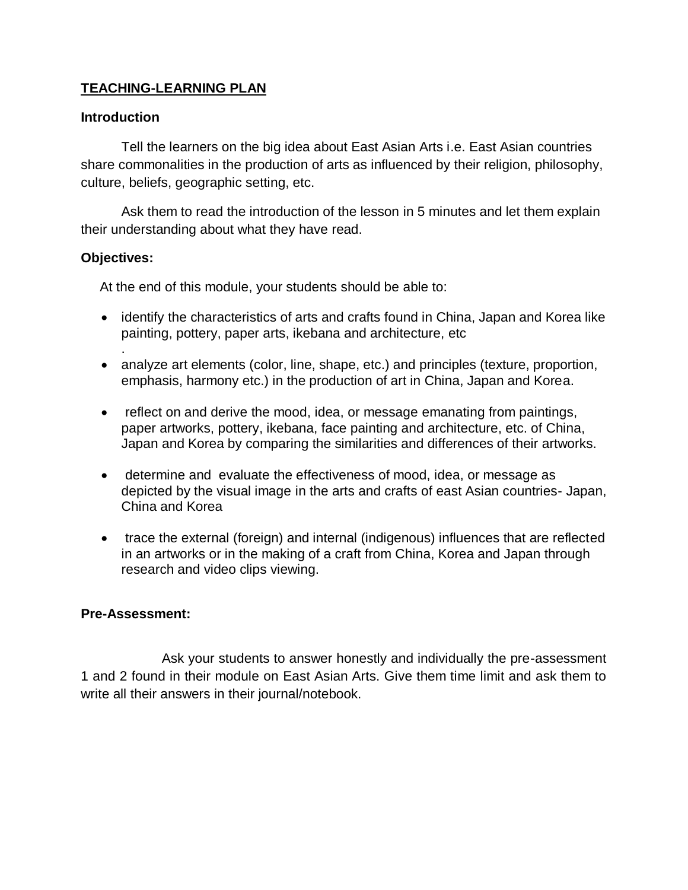#### **TEACHING-LEARNING PLAN**

#### **Introduction**

Tell the learners on the big idea about East Asian Arts i.e. East Asian countries share commonalities in the production of arts as influenced by their religion, philosophy, culture, beliefs, geographic setting, etc.

Ask them to read the introduction of the lesson in 5 minutes and let them explain their understanding about what they have read.

#### **Objectives:**

.

At the end of this module, your students should be able to:

- identify the characteristics of arts and crafts found in China, Japan and Korea like painting, pottery, paper arts, ikebana and architecture, etc
- analyze art elements (color, line, shape, etc.) and principles (texture, proportion, emphasis, harmony etc.) in the production of art in China, Japan and Korea.
- reflect on and derive the mood, idea, or message emanating from paintings, paper artworks, pottery, ikebana, face painting and architecture, etc. of China, Japan and Korea by comparing the similarities and differences of their artworks.
- determine and evaluate the effectiveness of mood, idea, or message as depicted by the visual image in the arts and crafts of east Asian countries- Japan, China and Korea
- trace the external (foreign) and internal (indigenous) influences that are reflected in an artworks or in the making of a craft from China, Korea and Japan through research and video clips viewing.

#### **Pre-Assessment:**

Ask your students to answer honestly and individually the pre-assessment 1 and 2 found in their module on East Asian Arts. Give them time limit and ask them to write all their answers in their journal/notebook.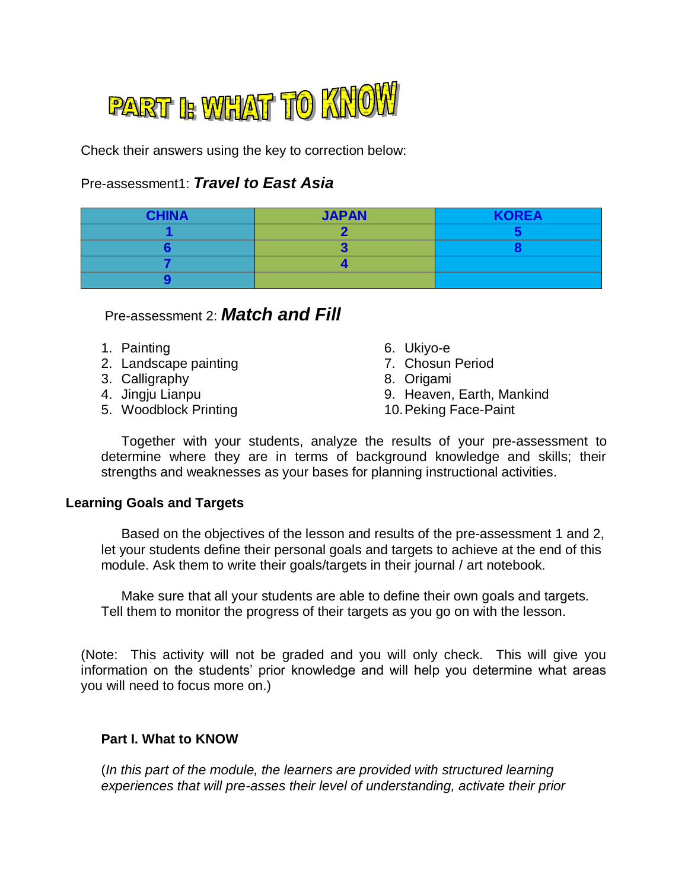

Check their answers using the key to correction below:

#### Pre-assessment1: *Travel to East Asia*

| <b>CHINA</b> | <b>JAPAN</b> | <b>KOREA</b> |
|--------------|--------------|--------------|
|              |              |              |
|              |              |              |
|              |              |              |
|              |              |              |

#### Pre-assessment 2: *Match and Fill*

- 1. Painting
- 2. Landscape painting
- 3. Calligraphy
- 4. Jingju Lianpu
- 5. Woodblock Printing
- 6. Ukiyo-e
- 7. Chosun Period
- 8. Origami
- 9. Heaven, Earth, Mankind
- 10.Peking Face-Paint

Together with your students, analyze the results of your pre-assessment to determine where they are in terms of background knowledge and skills; their strengths and weaknesses as your bases for planning instructional activities.

#### **Learning Goals and Targets**

Based on the objectives of the lesson and results of the pre-assessment 1 and 2, let your students define their personal goals and targets to achieve at the end of this module. Ask them to write their goals/targets in their journal / art notebook.

Make sure that all your students are able to define their own goals and targets. Tell them to monitor the progress of their targets as you go on with the lesson.

(Note: This activity will not be graded and you will only check. This will give you information on the students' prior knowledge and will help you determine what areas you will need to focus more on.)

#### **Part I. What to KNOW**

(*In this part of the module, the learners are provided with structured learning experiences that will pre-asses their level of understanding, activate their prior*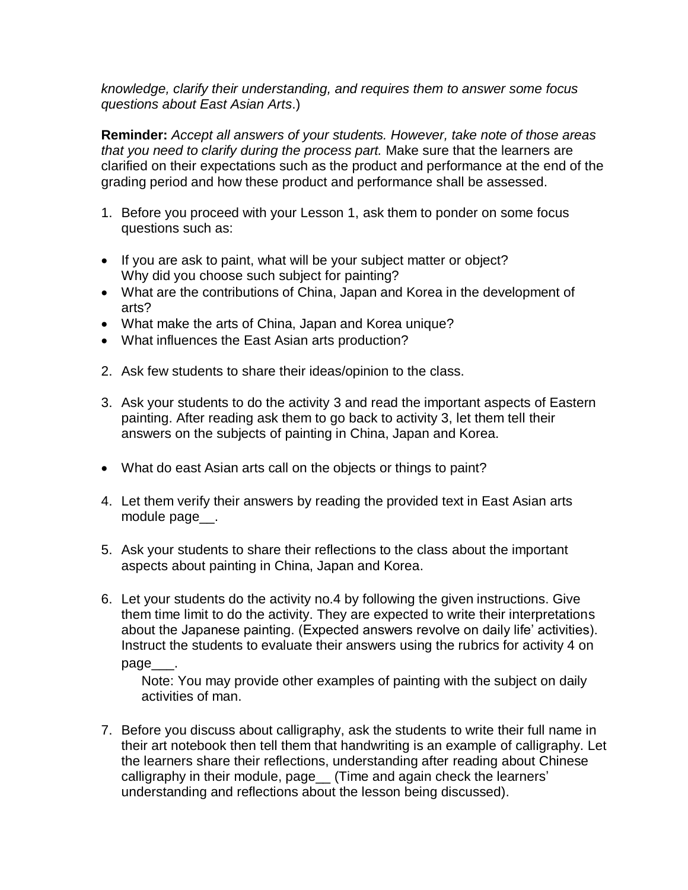*knowledge, clarify their understanding, and requires them to answer some focus questions about East Asian Arts*.)

**Reminder:** *Accept all answers of your students. However, take note of those areas that you need to clarify during the process part.* Make sure that the learners are clarified on their expectations such as the product and performance at the end of the grading period and how these product and performance shall be assessed.

- 1. Before you proceed with your Lesson 1, ask them to ponder on some focus questions such as:
- If you are ask to paint, what will be your subject matter or object? Why did you choose such subject for painting?
- What are the contributions of China, Japan and Korea in the development of arts?
- What make the arts of China, Japan and Korea unique?
- What influences the East Asian arts production?
- 2. Ask few students to share their ideas/opinion to the class.
- 3. Ask your students to do the activity 3 and read the important aspects of Eastern painting. After reading ask them to go back to activity 3, let them tell their answers on the subjects of painting in China, Japan and Korea.
- What do east Asian arts call on the objects or things to paint?
- 4. Let them verify their answers by reading the provided text in East Asian arts module page\_\_.
- 5. Ask your students to share their reflections to the class about the important aspects about painting in China, Japan and Korea.
- 6. Let your students do the activity no.4 by following the given instructions. Give them time limit to do the activity. They are expected to write their interpretations about the Japanese painting. (Expected answers revolve on daily life' activities). Instruct the students to evaluate their answers using the rubrics for activity 4 on page\_

Note: You may provide other examples of painting with the subject on daily activities of man.

7. Before you discuss about calligraphy, ask the students to write their full name in their art notebook then tell them that handwriting is an example of calligraphy. Let the learners share their reflections, understanding after reading about Chinese calligraphy in their module, page\_ (Time and again check the learners' understanding and reflections about the lesson being discussed).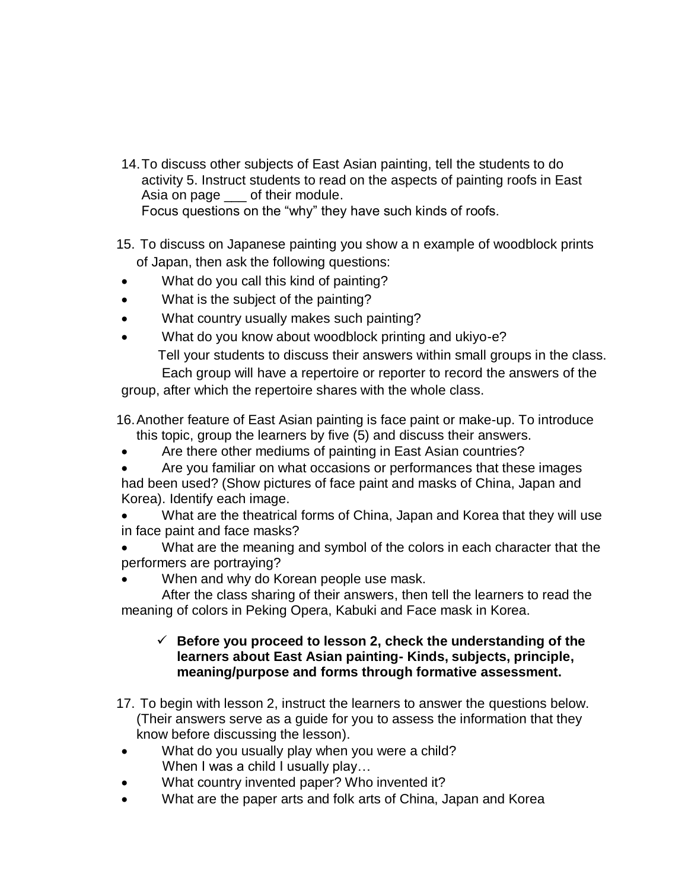- 14.To discuss other subjects of East Asian painting, tell the students to do activity 5. Instruct students to read on the aspects of painting roofs in East Asia on page \_\_\_ of their module. Focus questions on the "why" they have such kinds of roofs.
- 15. To discuss on Japanese painting you show a n example of woodblock prints of Japan, then ask the following questions:
- What do you call this kind of painting?
- What is the subject of the painting?
- What country usually makes such painting?
- What do you know about woodblock printing and ukiyo-e? Tell your students to discuss their answers within small groups in the class. Each group will have a repertoire or reporter to record the answers of the

group, after which the repertoire shares with the whole class.

- 16.Another feature of East Asian painting is face paint or make-up. To introduce this topic, group the learners by five (5) and discuss their answers.
- Are there other mediums of painting in East Asian countries?
- Are you familiar on what occasions or performances that these images had been used? (Show pictures of face paint and masks of China, Japan and Korea). Identify each image.
- What are the theatrical forms of China, Japan and Korea that they will use in face paint and face masks?
- What are the meaning and symbol of the colors in each character that the performers are portraying?
- When and why do Korean people use mask.
- After the class sharing of their answers, then tell the learners to read the meaning of colors in Peking Opera, Kabuki and Face mask in Korea.

#### $\checkmark$  Before you proceed to lesson 2, check the understanding of the **learners about East Asian painting- Kinds, subjects, principle, meaning/purpose and forms through formative assessment.**

- 17. To begin with lesson 2, instruct the learners to answer the questions below. (Their answers serve as a guide for you to assess the information that they know before discussing the lesson).
- What do you usually play when you were a child? When I was a child I usually play...
- What country invented paper? Who invented it?
- What are the paper arts and folk arts of China, Japan and Korea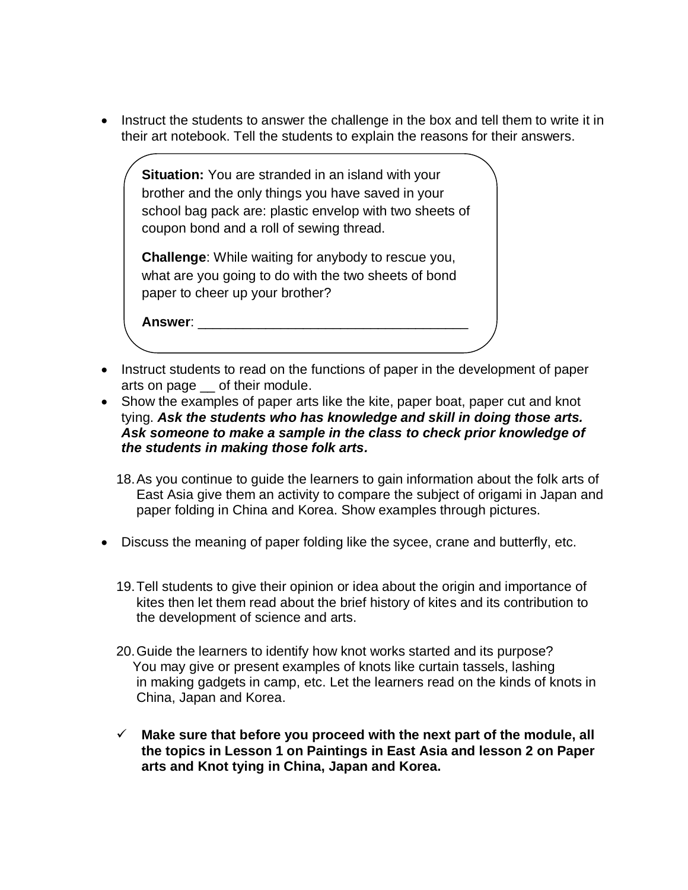• Instruct the students to answer the challenge in the box and tell them to write it in their art notebook. Tell the students to explain the reasons for their answers.

**Situation:** You are stranded in an island with your brother and the only things you have saved in your school bag pack are: plastic envelop with two sheets of coupon bond and a roll of sewing thread.

**Challenge**: While waiting for anybody to rescue you, what are you going to do with the two sheets of bond paper to cheer up your brother?

**Answer**: \_\_\_\_\_\_\_\_\_\_\_\_\_\_\_\_\_\_\_\_\_\_\_\_\_\_\_\_\_\_\_\_\_\_\_\_

 $\overline{1}$ 

- Instruct students to read on the functions of paper in the development of paper arts on page \_\_ of their module.
- Show the examples of paper arts like the kite, paper boat, paper cut and knot tying. *Ask the students who has knowledge and skill in doing those arts. Ask someone to make a sample in the class to check prior knowledge of the students in making those folk arts.*
	- 18.As you continue to guide the learners to gain information about the folk arts of East Asia give them an activity to compare the subject of origami in Japan and paper folding in China and Korea. Show examples through pictures.
- Discuss the meaning of paper folding like the sycee, crane and butterfly, etc.
	- 19.Tell students to give their opinion or idea about the origin and importance of kites then let them read about the brief history of kites and its contribution to the development of science and arts.
	- 20.Guide the learners to identify how knot works started and its purpose? You may give or present examples of knots like curtain tassels, lashing in making gadgets in camp, etc. Let the learners read on the kinds of knots in China, Japan and Korea.
	- **Make sure that before you proceed with the next part of the module, all the topics in Lesson 1 on Paintings in East Asia and lesson 2 on Paper arts and Knot tying in China, Japan and Korea.**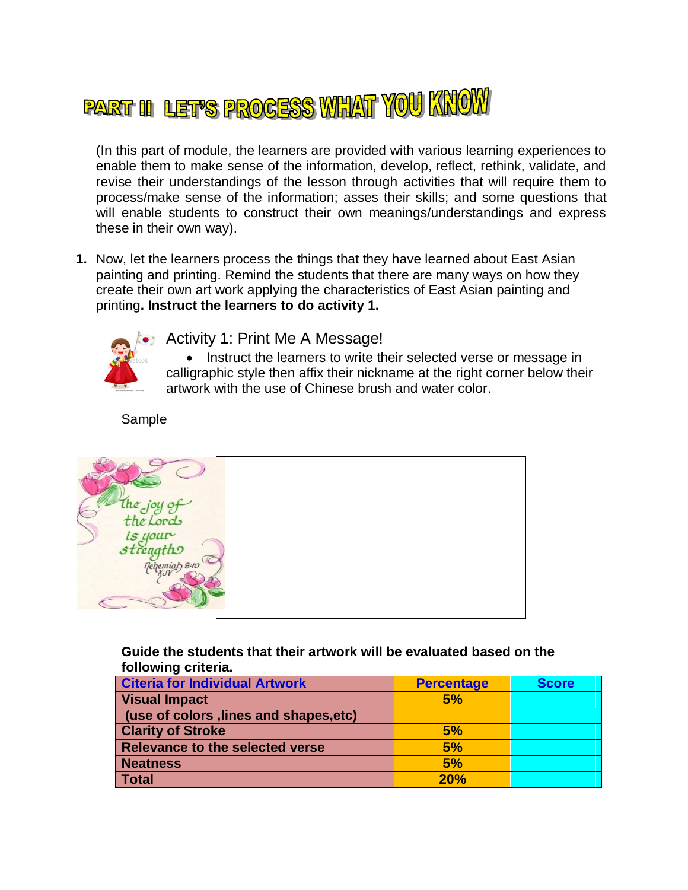# PART III LET'S PROCESS WHAT YOU KNOW

(In this part of module, the learners are provided with various learning experiences to enable them to make sense of the information, develop, reflect, rethink, validate, and revise their understandings of the lesson through activities that will require them to process/make sense of the information; asses their skills; and some questions that will enable students to construct their own meanings/understandings and express these in their own way).

**1.** Now, let the learners process the things that they have learned about East Asian painting and printing. Remind the students that there are many ways on how they create their own art work applying the characteristics of East Asian painting and printing**. Instruct the learners to do activity 1.**



Activity 1: Print Me A Message!

• Instruct the learners to write their selected verse or message in calligraphic style then affix their nickname at the right corner below their artwork with the use of Chinese brush and water color.

Sample



**Guide the students that their artwork will be evaluated based on the following criteria.**

| <b>Citeria for Individual Artwork</b>  | <b>Percentage</b> | <b>Score</b> |
|----------------------------------------|-------------------|--------------|
| <b>Visual Impact</b>                   | 5%                |              |
| (use of colors, lines and shapes, etc) |                   |              |
| <b>Clarity of Stroke</b>               | 5%                |              |
| Relevance to the selected verse        | 5%                |              |
| <b>Neatness</b>                        | 5%                |              |
| Total                                  | 20%               |              |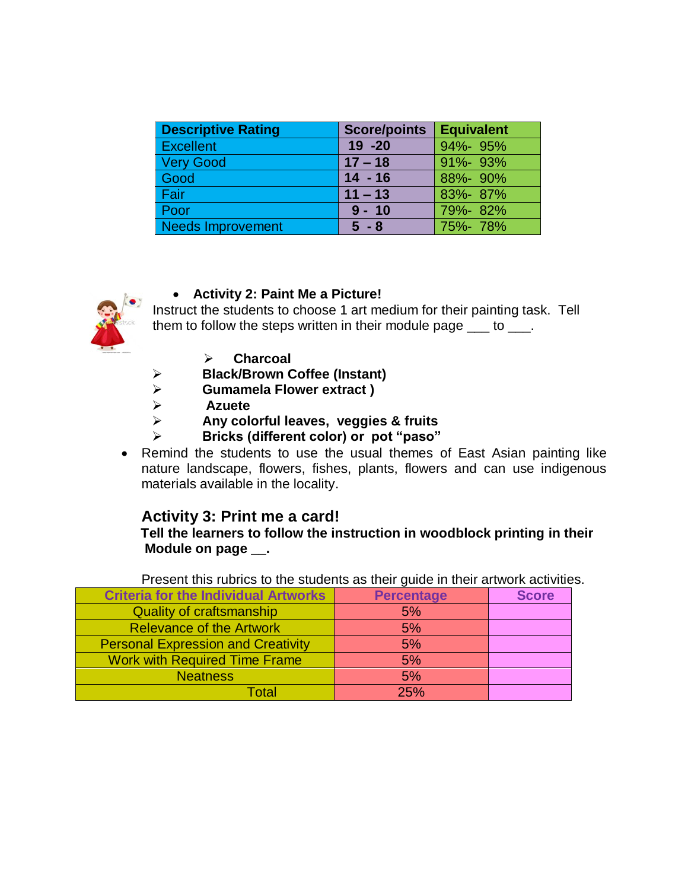| <b>Descriptive Rating</b> | <b>Score/points</b> | Equivalent    |
|---------------------------|---------------------|---------------|
| <b>Excellent</b>          | $19 - 20$           | 94%-95%       |
| <b>Very Good</b>          | $17 - 18$           | $91\% - 93\%$ |
| Good                      | $14 - 16$           | 88%-90%       |
| Fair                      | $11 - 13$           | 83%-87%       |
| Poor                      | $9 - 10$            | 79%-82%       |
| <b>Needs Improvement</b>  | $5 - 8$             | 75%-78%       |



**Activity 2: Paint Me a Picture!**

Instruct the students to choose 1 art medium for their painting task. Tell them to follow the steps written in their module page \_\_\_ to \_\_\_.

- **Charcoal**
- **Black/Brown Coffee (Instant)**
- **Gumamela Flower extract )**
- **Azuete**
- **Any colorful leaves, veggies & fruits**
- **Bricks (different color) or pot "paso"**
- Remind the students to use the usual themes of East Asian painting like nature landscape, flowers, fishes, plants, flowers and can use indigenous materials available in the locality.

#### **Activity 3: Print me a card!**

#### **Tell the learners to follow the instruction in woodblock printing in their Module on page \_\_.**

Present this rubrics to the students as their guide in their artwork activities.

| <b>Criteria for the Individual Artworks</b> | <b>Percentage</b> | <b>Score</b> |
|---------------------------------------------|-------------------|--------------|
| <b>Quality of craftsmanship</b>             | 5%                |              |
| <b>Relevance of the Artwork</b>             | 5%                |              |
| <b>Personal Expression and Creativity</b>   | 5%                |              |
| <b>Work with Required Time Frame</b>        | 5%                |              |
| <b>Neatness</b>                             | 5%                |              |
| Total                                       | 25%               |              |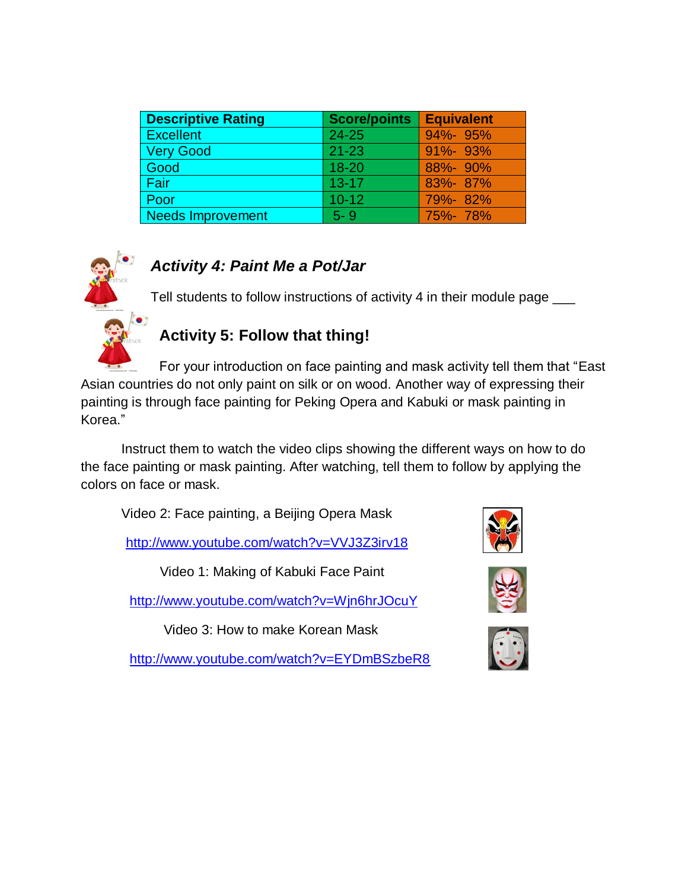| <b>Descriptive Rating</b> | <b>Score/points</b> | <b>Equivalent</b> |
|---------------------------|---------------------|-------------------|
| <b>Excellent</b>          | 24-25               | $94\% - 95\%$     |
| <b>Very Good</b>          | $21 - 23$           | $91\% - 93\%$     |
| Good                      | $18 - 20$           | 88%-90%           |
| Fair                      | $13 - 17$           | 83%-87%           |
| Poor                      | $10 - 12$           | 79%-82%           |
| <b>Needs Improvement</b>  | $5 - 9$             | 75%-78%           |



### *Activity 4: Paint Me a Pot/Jar*

Tell students to follow instructions of activity 4 in their module page  $\_\_$ 

### **Activity 5: Follow that thing!**

For your introduction on face painting and mask activity tell them that "East Asian countries do not only paint on silk or on wood. Another way of expressing their painting is through face painting for Peking Opera and Kabuki or mask painting in Korea."

Instruct them to watch the video clips showing the different ways on how to do the face painting or mask painting. After watching, tell them to follow by applying the colors on face or mask.

Video 2: Face painting, a Beijing Opera Mask

<http://www.youtube.com/watch?v=VVJ3Z3irv18>

Video 1: Making of Kabuki Face Paint

<http://www.youtube.com/watch?v=Wjn6hrJOcuY>

Video 3: How to make Korean Mask

<http://www.youtube.com/watch?v=EYDmBSzbeR8>





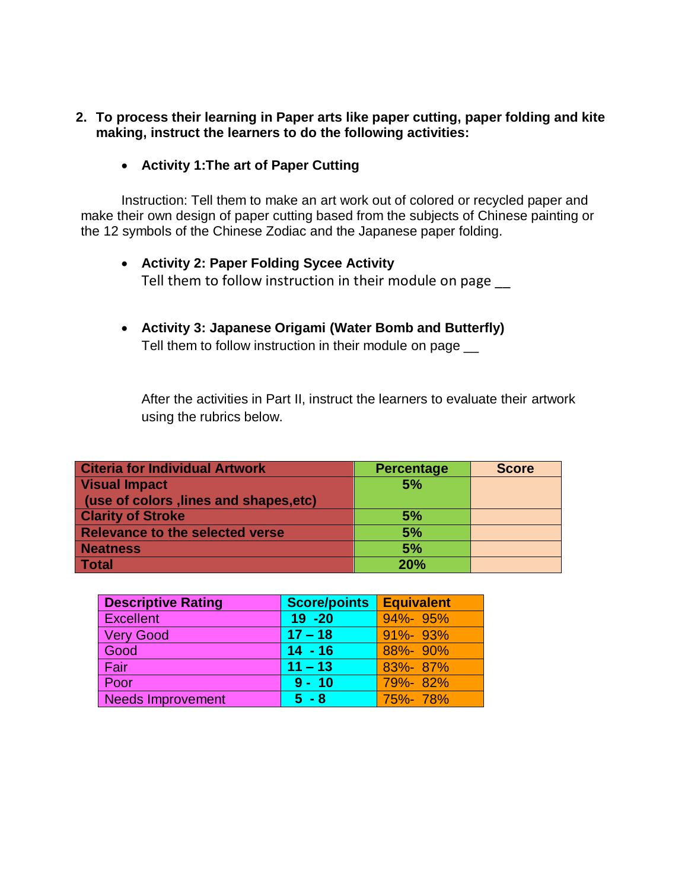- **2. To process their learning in Paper arts like paper cutting, paper folding and kite making, instruct the learners to do the following activities:**
	- **Activity 1:The art of Paper Cutting**

Instruction: Tell them to make an art work out of colored or recycled paper and make their own design of paper cutting based from the subjects of Chinese painting or the 12 symbols of the Chinese Zodiac and the Japanese paper folding.

- **Activity 2: Paper Folding Sycee Activity** Tell them to follow instruction in their module on page
- **Activity 3: Japanese Origami (Water Bomb and Butterfly)** Tell them to follow instruction in their module on page  $\equiv$

After the activities in Part II, instruct the learners to evaluate their artwork using the rubrics below.

| <b>Citeria for Individual Artwork</b>  | <b>Percentage</b> | <b>Score</b> |
|----------------------------------------|-------------------|--------------|
| <b>Visual Impact</b>                   | 5%                |              |
| (use of colors, lines and shapes, etc) |                   |              |
| <b>Clarity of Stroke</b>               | 5%                |              |
| <b>Relevance to the selected verse</b> | 5%                |              |
| <b>Neatness</b>                        | 5%                |              |
| <b>Total</b>                           | 20%               |              |

| <b>Descriptive Rating</b> | <b>Score/points</b> | <b>Equivalent</b> |
|---------------------------|---------------------|-------------------|
| Excellent                 | $19 - 20$           | 94%-95%           |
| <b>Very Good</b>          | $17 - 18$           | $91\% - 93\%$     |
| Good                      | $14 - 16$           | 88%-90%           |
| Fair                      | $11 - 13$           | 83%-87%           |
| Poor                      | $9 - 10$            | 79%-82%           |
| Needs Improvement         | $5 - 8$             | 75%-78%           |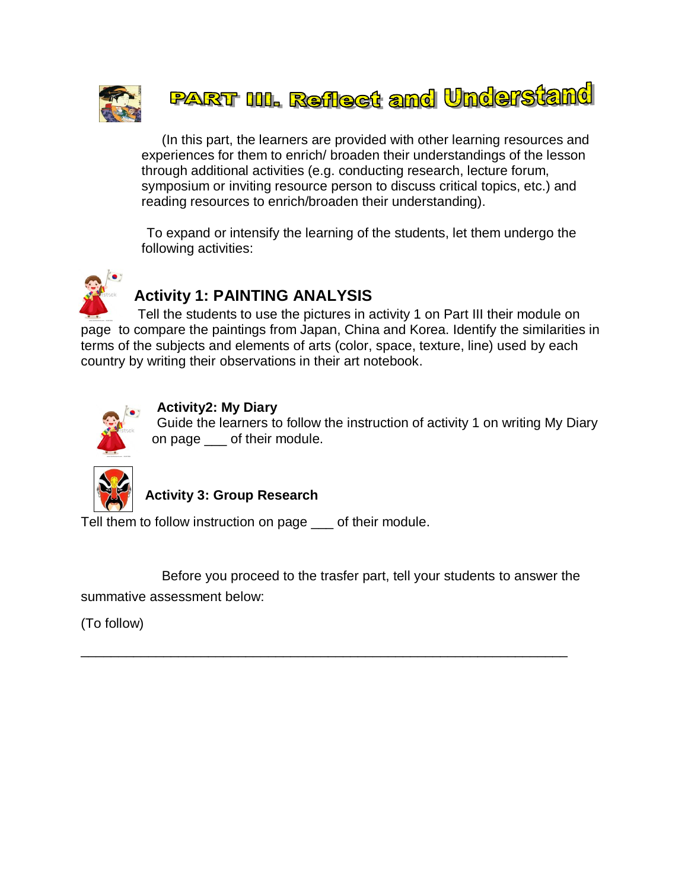

## **PART III. Reflect and Understand**

(In this part, the learners are provided with other learning resources and experiences for them to enrich/ broaden their understandings of the lesson through additional activities (e.g. conducting research, lecture forum, symposium or inviting resource person to discuss critical topics, etc.) and reading resources to enrich/broaden their understanding).

To expand or intensify the learning of the students, let them undergo the following activities:



## **Activity 1: PAINTING ANALYSIS**

Tell the students to use the pictures in activity 1 on Part III their module on page to compare the paintings from Japan, China and Korea. Identify the similarities in terms of the subjects and elements of arts (color, space, texture, line) used by each country by writing their observations in their art notebook.



#### **Activity2: My Diary**

Guide the learners to follow the instruction of activity 1 on writing My Diary on page of their module.



#### **Activity 3: Group Research**

Tell them to follow instruction on page \_\_\_ of their module.

Before you proceed to the trasfer part, tell your students to answer the summative assessment below:

\_\_\_\_\_\_\_\_\_\_\_\_\_\_\_\_\_\_\_\_\_\_\_\_\_\_\_\_\_\_\_\_\_\_\_\_\_\_\_\_\_\_\_\_\_\_\_\_\_\_\_\_\_\_\_\_\_\_\_\_\_\_\_\_\_

(To follow)